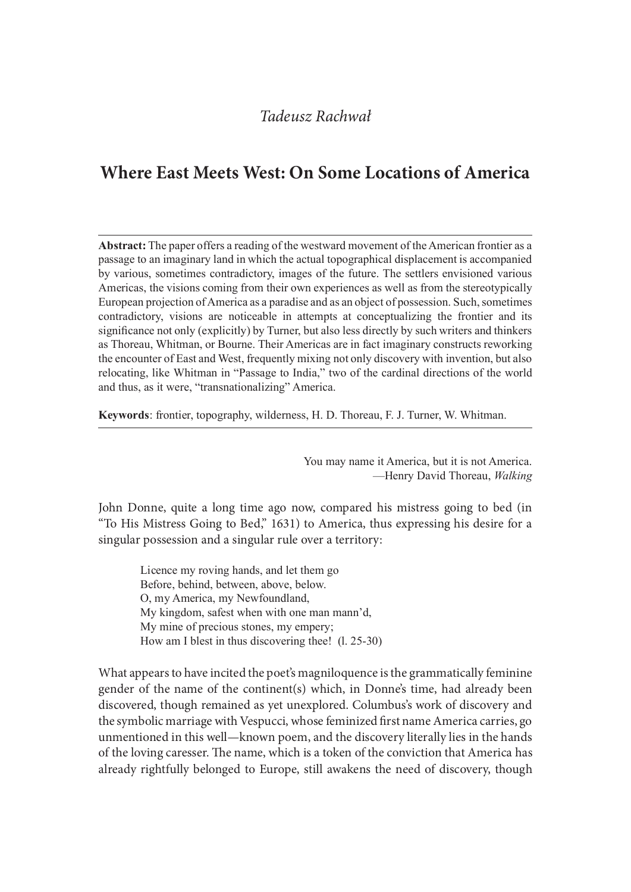# Where East Meets West: On Some Locations of America

Abstract: The paper offers a reading of the westward movement of the American frontier as a passage to an imaginary land in which the actual topographical displacement is accompanied by various, sometimes contradictory, images of the future. The settlers envisioned various Americas, the visions coming from their own experiences as well as from the stereotypically European projection of America as a paradise and as an object of possession. Such, sometimes Tadeusz Rachwał<br> **Where East Meets West: On Some Locations of America**<br> **Abstract:** The paper offers a reading of the westward movement of the American frontier as a<br>
passage to an imaginary land in which the actual topogr significance not only (explicitly) by Turner, but also less directly by such writers and thinkers as Thoreau, Whitman, or Bourne. Their Americas are in fact imaginary constructs reworking the encounter of East and West, frequently mixing not only discovery with invention, but also relocating, like Whitman in "Passage to India," two of the cardinal directions of the world and thus, as it were, "transnationalizing" America.

Keywords: frontier, topography, wilderness, H. D. Thoreau, F. J. Turner, W. Whitman.

You may name it America, but it is not America. —Henry David Thoreau, Walking

John Donne, quite a long time ago now, compared his mistress going to bed (in "To His Mistress Going to Bed," 1631) to America, thus expressing his desire for a singular possession and a singular rule over a territory:

Licence my roving hands, and let them go Before, behind, between, above, below. O, my America, my Newfoundland, My kingdom, safest when with one man mann'd, My mine of precious stones, my empery; How am I blest in thus discovering thee! (l. 25-30)

What appears to have incited the poet's magniloquence is the grammatically feminine gender of the name of the continent(s) which, in Donne's time, had already been discovered, though remained as yet unexplored. Columbus's work of discovery and the symbolic marriage with Vespucci, whose feminized first name America carries, go unmentioned in this well—known poem, and the discovery literally lies in the hands of the loving caresser. The name, which is a token of the conviction that America has already rightfully belonged to Europe, still awakens the need of discovery, though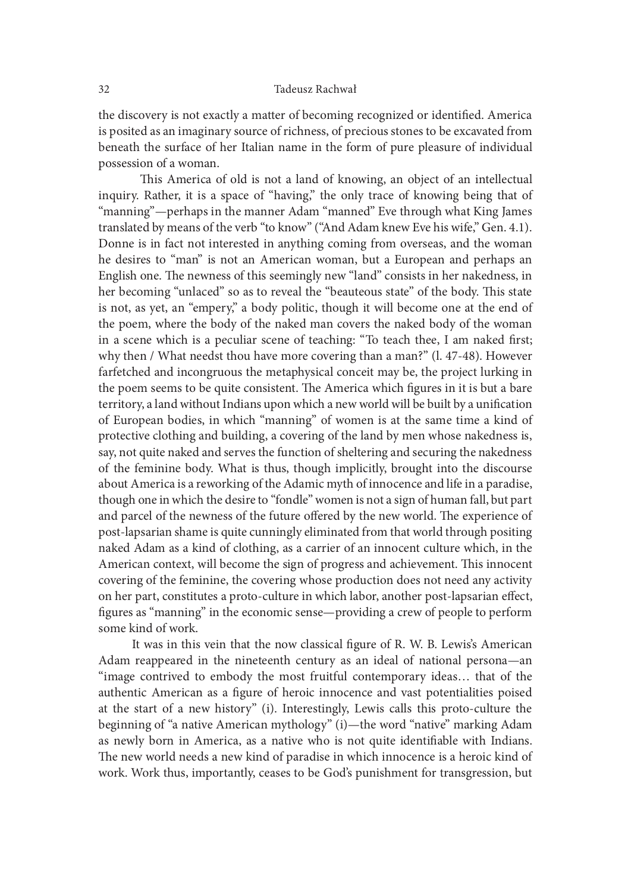the discovery is not exactly a matter of becoming recognized or identified. America is posited as an imaginary source of richness, of precious stones to be excavated from beneath the surface of her Italian name in the form of pure pleasure of individual possession of a woman.

This America of old is not a land of knowing, an object of an intellectual inquiry. Rather, it is a space of "having," the only trace of knowing being that of "manning"—perhaps in the manner Adam "manned" Eve through what King James translated by means of the verb "to know" ("And Adam knew Eve his wife," Gen. 4.1). Donne is in fact not interested in anything coming from overseas, and the woman he desires to "man" is not an American woman, but a European and perhaps an English one. The newness of this seemingly new "land" consists in her nakedness, in her becoming "unlaced" so as to reveal the "beauteous state" of the body. This state is not, as yet, an "empery," a body politic, though it will become one at the end of the poem, where the body of the naked man covers the naked body of the woman in a scene which is a peculiar scene of teaching: "To teach thee, I am naked first; why then / What needst thou have more covering than a man?" (l. 47-48). However farfetched and incongruous the metaphysical conceit may be, the project lurking in the poem seems to be quite consistent. The America which figures in it is but a bare territory, a land without Indians upon which a new world will be built by a unification of European bodies, in which "manning" of women is at the same time a kind of protective clothing and building, a covering of the land by men whose nakedness is, say, not quite naked and serves the function of sheltering and securing the nakedness of the feminine body. What is thus, though implicitly, brought into the discourse about America is a reworking of the Adamic myth of innocence and life in a paradise, though one in which the desire to "fondle" women is not a sign of human fall, but part and parcel of the newness of the future offered by the new world. The experience of post-lapsarian shame is quite cunningly eliminated from that world through positing naked Adam as a kind of clothing, as a carrier of an innocent culture which, in the American context, will become the sign of progress and achievement. This innocent covering of the feminine, the covering whose production does not need any activity on her part, constitutes a proto-culture in which labor, another post-lapsarian effect, figures as "manning" in the economic sense—providing a crew of people to perform some kind of work.

It was in this vein that the now classical figure of R. W. B. Lewis's American Adam reappeared in the nineteenth century as an ideal of national persona—an "image contrived to embody the most fruitful contemporary ideas… that of the authentic American as a figure of heroic innocence and vast potentialities poised at the start of a new history" (i). Interestingly, Lewis calls this proto-culture the beginning of "a native American mythology" (i)—the word "native" marking Adam as newly born in America, as a native who is not quite identifiable with Indians. The new world needs a new kind of paradise in which innocence is a heroic kind of work. Work thus, importantly, ceases to be God's punishment for transgression, but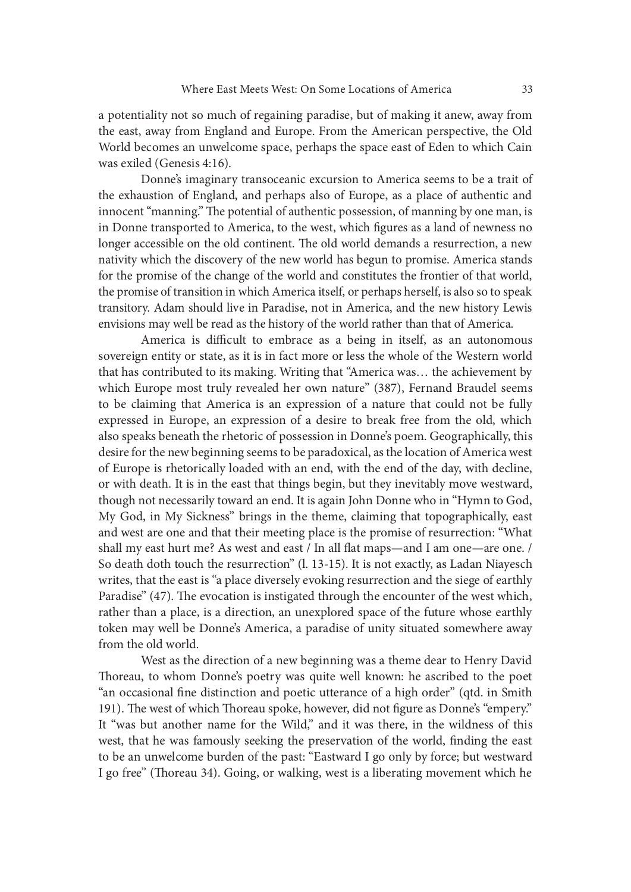a potentiality not so much of regaining paradise, but of making it anew, away from the east, away from England and Europe. From the American perspective, the Old World becomes an unwelcome space, perhaps the space east of Eden to which Cain was exiled (Genesis 4:16).

 Donne's imaginary transoceanic excursion to America seems to be a trait of the exhaustion of England, and perhaps also of Europe, as a place of authentic and innocent "manning." The potential of authentic possession, of manning by one man, is in Donne transported to America, to the west, which figures as a land of newness no longer accessible on the old continent. The old world demands a resurrection, a new nativity which the discovery of the new world has begun to promise. America stands for the promise of the change of the world and constitutes the frontier of that world, the promise of transition in which America itself, or perhaps herself, is also so to speak transitory. Adam should live in Paradise, not in America, and the new history Lewis envisions may well be read as the history of the world rather than that of America.

America is difficult to embrace as a being in itself, as an autonomous sovereign entity or state, as it is in fact more or less the whole of the Western world that has contributed to its making. Writing that "America was… the achievement by which Europe most truly revealed her own nature" (387), Fernand Braudel seems to be claiming that America is an expression of a nature that could not be fully expressed in Europe, an expression of a desire to break free from the old, which also speaks beneath the rhetoric of possession in Donne's poem. Geographically, this desire for the new beginning seems to be paradoxical, as the location of America west of Europe is rhetorically loaded with an end, with the end of the day, with decline, or with death. It is in the east that things begin, but they inevitably move westward, though not necessarily toward an end. It is again John Donne who in "Hymn to God, My God, in My Sickness" brings in the theme, claiming that topographically, east and west are one and that their meeting place is the promise of resurrection: "What shall my east hurt me? As west and east / In all flat maps—and I am one—are one. / So death doth touch the resurrection" (l. 13-15). It is not exactly, as Ladan Niayesch writes, that the east is "a place diversely evoking resurrection and the siege of earthly Paradise" (47). The evocation is instigated through the encounter of the west which, rather than a place, is a direction, an unexplored space of the future whose earthly token may well be Donne's America, a paradise of unity situated somewhere away from the old world.

 West as the direction of a new beginning was a theme dear to Henry David Thoreau, to whom Donne's poetry was quite well known: he ascribed to the poet "an occasional fine distinction and poetic utterance of a high order" (qtd. in Smith 191). The west of which Thoreau spoke, however, did not figure as Donne's "empery." It "was but another name for the Wild," and it was there, in the wildness of this west, that he was famously seeking the preservation of the world, finding the east to be an unwelcome burden of the past: "Eastward I go only by force; but westward I go free" (Thoreau 34). Going, or walking, west is a liberating movement which he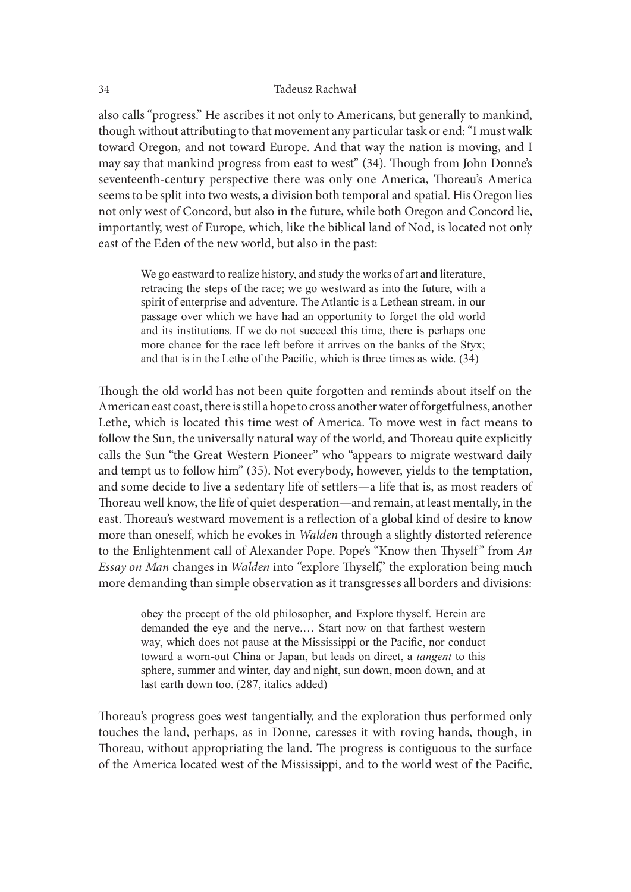also calls "progress." He ascribes it not only to Americans, but generally to mankind, though without attributing to that movement any particular task or end: "I must walk toward Oregon, and not toward Europe. And that way the nation is moving, and I may say that mankind progress from east to west" (34). Though from John Donne's seventeenth-century perspective there was only one America, Thoreau's America seems to be split into two wests, a division both temporal and spatial. His Oregon lies not only west of Concord, but also in the future, while both Oregon and Concord lie, importantly, west of Europe, which, like the biblical land of Nod, is located not only east of the Eden of the new world, but also in the past:

We go eastward to realize history, and study the works of art and literature, retracing the steps of the race; we go westward as into the future, with a spirit of enterprise and adventure. The Atlantic is a Lethean stream, in our passage over which we have had an opportunity to forget the old world and its institutions. If we do not succeed this time, there is perhaps one more chance for the race left before it arrives on the banks of the Styx; and that is in the Lethe of the Pacific, which is three times as wide.  $(34)$ 

Though the old world has not been quite forgotten and reminds about itself on the American east coast, there is still a hope to cross another water of forgetfulness, another Lethe, which is located this time west of America. To move west in fact means to follow the Sun, the universally natural way of the world, and Thoreau quite explicitly calls the Sun "the Great Western Pioneer" who "appears to migrate westward daily and tempt us to follow him" (35). Not everybody, however, yields to the temptation, and some decide to live a sedentary life of settlers—a life that is, as most readers of Thoreau well know, the life of quiet desperation—and remain, at least mentally, in the east. Thoreau's westward movement is a reflection of a global kind of desire to know more than oneself, which he evokes in Walden through a slightly distorted reference follow the Sun, the universally natural way of the world, and Thoreau quite explicitly calls the Sun "the Great Western Pioneer" who "appears to migrate westward daily and tempt us to follow him" (35). Not everybody, howev Essay on Man changes in Walden into "explore Thyself," the exploration being much more demanding than simple observation as it transgresses all borders and divisions: the old world has not been quite forgotten and reminds about itself on the nn east coast, there is still a hope to cross another water of forgetfulness, another which is located this time west of America. To move west in f

obey the precept of the old philosopher, and Explore thyself. Herein are way, which does not pause at the Mississippi or the Pacific, nor conduct toward a worn-out China or Japan, but leads on direct, a *tangent* to this sphere, summer and winter, day and night, sun down, moon down, and at last earth down too. (287, italics added)

Thoreau's progress goes west tangentially, and the exploration thus performed only touches the land, perhaps, as in Donne, caresses it with roving hands, though, in Thoreau, without appropriating the land. The progress is contiguous to the surface of the America located west of the Mississippi, and to the world west of the Pacific,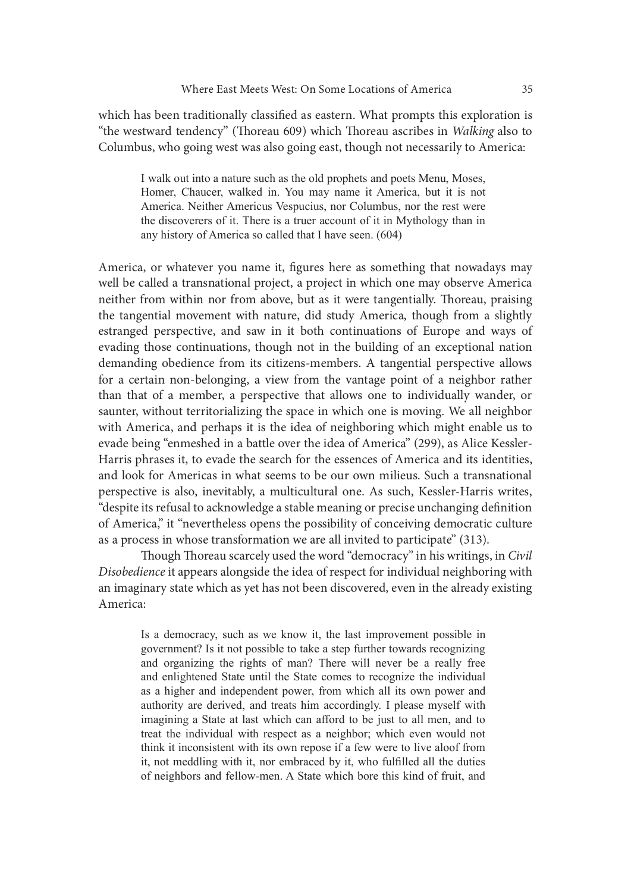which has been traditionally classified as eastern. What prompts this exploration is "the westward tendency" (Thoreau 609) which Thoreau ascribes in Walking also to Columbus, who going west was also going east, though not necessarily to America:

I walk out into a nature such as the old prophets and poets Menu, Moses, Homer, Chaucer, walked in. You may name it America, but it is not America. Neither Americus Vespucius, nor Columbus, nor the rest were the discoverers of it. There is a truer account of it in Mythology than in any history of America so called that I have seen. (604)

America, or whatever you name it, figures here as something that nowadays may well be called a transnational project, a project in which one may observe America neither from within nor from above, but as it were tangentially. Thoreau, praising the tangential movement with nature, did study America, though from a slightly estranged perspective, and saw in it both continuations of Europe and ways of evading those continuations, though not in the building of an exceptional nation demanding obedience from its citizens-members. A tangential perspective allows for a certain non-belonging, a view from the vantage point of a neighbor rather than that of a member, a perspective that allows one to individually wander, or saunter, without territorializing the space in which one is moving. We all neighbor with America, and perhaps it is the idea of neighboring which might enable us to evade being "enmeshed in a battle over the idea of America" (299), as Alice Kessler-Harris phrases it, to evade the search for the essences of America and its identities, and look for Americas in what seems to be our own milieus. Such a transnational perspective is also, inevitably, a multicultural one. As such, Kessler-Harris writes, "despite its refusal to acknowledge a stable meaning or precise unchanging definition of America," it "nevertheless opens the possibility of conceiving democratic culture as a process in whose transformation we are all invited to participate" (313). rtain non-belonging, a view from the vantage point of a neighbor rather of a member, a perspective that allows one to individually wander, or without territorializing the space in which one is moving. We all neighbor orier or an emerget of the idea of merget of the state and the state of the individual with territorializing the space in which one is moving. We all neighbor or the contrined and both cometric (299), as Alice Kessler-<br>hrases it whold certificary and perhaps it spear in which can afford its flowing. We an fractional enerica, and perhaps it is the idea of neighboring which might enable us to hing "enmeshed in a battle over the idea of America" (299

Though Thoreau scarcely used the word "democracy" in his writings, in Civil Disobedience it appears alongside the idea of respect for individual neighboring with an imaginary state which as yet has not been discovered, even in the already existing America:

government? Is it not possible to take a step further towards recognizing as a higher and independent power, from which all its own power and ring "enmeshed un a battle over the idea of America (299), as Alice Kessier-<br>hranes it, to evade the search for the essences of America and its identities,<br>for Americas in what seems to be our own milieus. Such a transmati imagining a State at last which can afford to be just to all men, and to for Americas in what seems to be our own milieus. Such a transnational<br>tive is also, inevitably, a multicultural one. As such, Kessler-Harris writes,<br>its refusal to acknowledge a stable meaning or precise unchanging defini think it inconsistent with its own repose if a few were to live aloof from it, not meddling with it, nor embraced by it, who fulfilled all the duties of neighbors and fellow-men. A State which bore this kind of fruit, and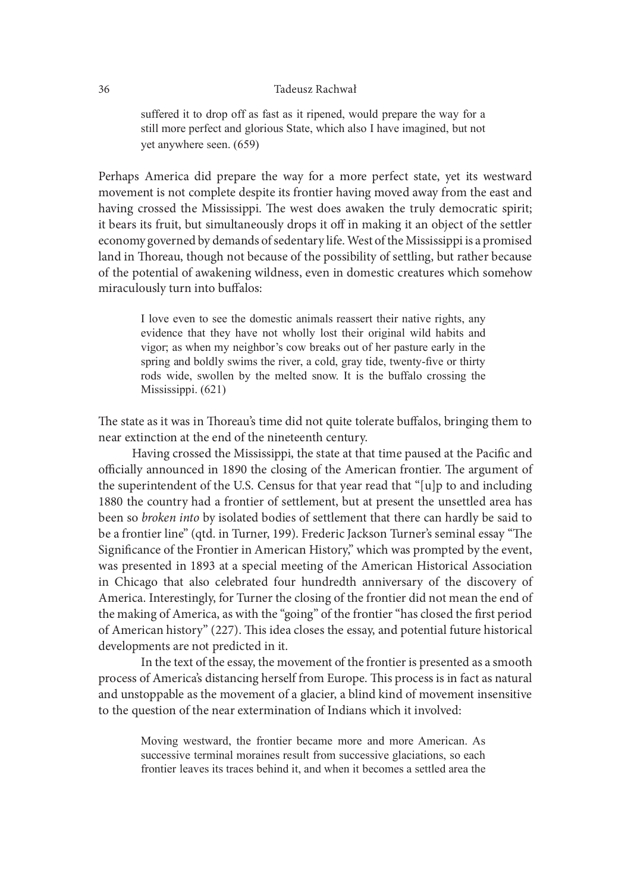suffered it to drop off as fast as it ripened, would prepare the way for a still more perfect and glorious State, which also I have imagined, but not yet anywhere seen.  $(659)$ 

Perhaps America did prepare the way for a more perfect state, yet its westward movement is not complete despite its frontier having moved away from the east and having crossed the Mississippi. The west does awaken the truly democratic spirit; it bears its fruit, but simultaneously drops it off in making it an object of the settler economy governed by demands of sedentary life. West of the Mississippi is a promised land in Thoreau, though not because of the possibility of settling, but rather because of the potential of awakening wildness, even in domestic creatures which somehow miraculously turn into buffalos: Tadeuss: Rachwał<br>
still more perfect and glorious State, which also 1 have imagined, but not<br>
yet anywhere seen. (659)<br>
America did prepare the way for a more perfect state, yet its westward<br>
nt is not complete despite its sultered it to drop of its ast as it repend, would prepare the way for a<br>still more perfect and glorious State, which also I have imagined, but not<br>yet anywhere seen. (659)<br>America did prepare the way for a more perfect st

I love even to see the domestic animals reassert their native rights, any vigor, as when my neighbor's cow breaks out of her pasture early in the spring and boldly swims the river, a cold, gray tide, twenty-five or thirty Mississippi. (621)

The state as it was in Thoreau's time did not quite tolerate buffalos, bringing them to near extinction at the end of the nineteenth century.

Having crossed the Mississippi, the state at that time paused at the Pacific and officially announced in 1890 the closing of the American frontier. The argument of the superintendent of the U.S. Census for that year read that "[u]p to and including 1880 the country had a frontier of settlement, but at present the unsettled area has been so broken into by isolated bodies of settlement that there can hardly be said to be a frontier line" (qtd. in Turner, 199). Frederic Jackson Turner's seminal essay "The Significance of the Frontier in American History," which was prompted by the event, was presented in 1893 at a special meeting of the American Historical Association in Chicago that also celebrated four hundredth anniversary of the discovery of America. Interestingly, for Turner the closing of the frontier did not mean the end of the making of America, as with the "going" of the frontier "has closed the first period of American history" (227). This idea closes the essay, and potential future historical developments are not predicted in it. rintendent of the U.S. Census for that year read that "[u]p to and including<br>country had a frontier of settlement, but at present the unsettled area has<br>broken into by isolated boldeis of settlement that there can hardly b

 In the text of the essay, the movement of the frontier is presented as a smooth process of America's distancing herself from Europe. This process is in fact as natural and unstoppable as the movement of a glacier, a blind kind of movement insensitive to the question of the near extermination of Indians which it involved:

successive terminal moraines result from successive glaciations, so each frontier leaves its traces behind it, and when it becomes a settled area the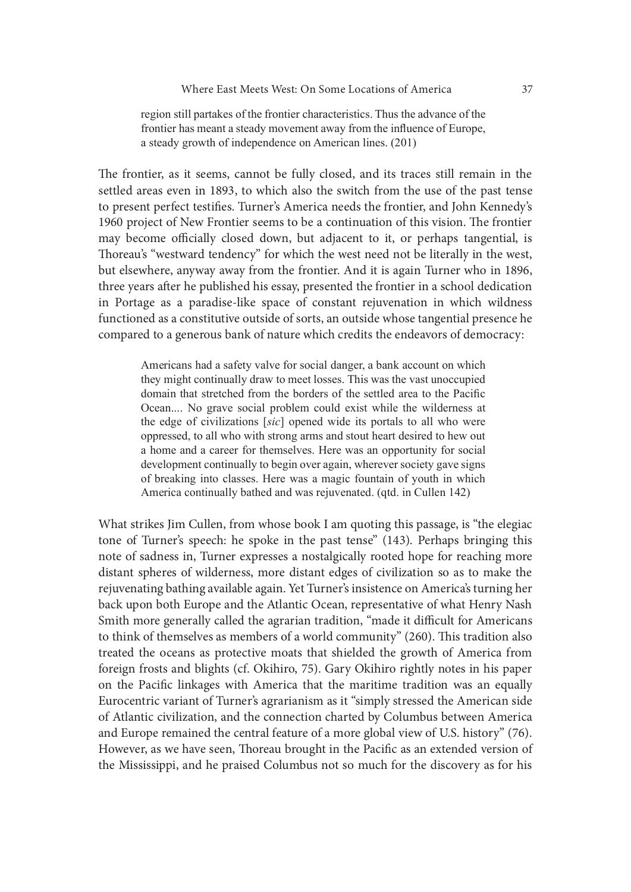region still partakes of the frontier characteristics. Thus the advance of the frontier has meant a steady movement away from the influence of Europe, a steady growth of independence on American lines. (201)

The frontier, as it seems, cannot be fully closed, and its traces still remain in the settled areas even in 1893, to which also the switch from the use of the past tense to present perfect testifies. Turner's America needs the frontier, and John Kennedy's 1960 project of New Frontier seems to be a continuation of this vision. The frontier may become officially closed down, but adjacent to it, or perhaps tangential, is Thoreau's "westward tendency" for which the west need not be literally in the west, but elsewhere, anyway away from the frontier. And it is again Turner who in 1896, three years ater he published his essay, presented the frontier in a school dedication in Portage as a paradise-like space of constant rejuvenation in which wildness functioned as a constitutive outside of sorts, an outside whose tangential presence he compared to a generous bank of nature which credits the endeavors of democracy: a steady grown of natepenaence on Antionean imes. (201)<br>titer, as it seems, cannot be fully closed, and its traces still remain in the<br>preat est stiffers. Tunner's America needs the frontier, and John Kennedy's<br>oject of Ne tier, as it seems, cannot be fully closed, and its traces still remain in the<br>reas even in 1893, to which also the switch from the use of the past tense<br>of the prefect testifies. Turner's America needs the frontier, and Jo

Americans had a safety valve for social danger, a bank account on which they might continually draw to meet losses. This was the vast unoccupied domain that stretched from the borders of the settled area to the Pacific oppressed, to all who with strong arms and stout heart desired to hew out a home and a career for themselves. Here was an opportunity for social development continually to begin over again, wherever society gave signs of breaking into classes. Here was a magic fountain of youth in which America continually bathed and was rejuvenated. (qtd. in Cullen 142)

What strikes Jim Cullen, from whose book I am quoting this passage, is "the elegiac tone of Turner's speech: he spoke in the past tense" (143). Perhaps bringing this note of sadness in, Turner expresses a nostalgically rooted hope for reaching more distant spheres of wilderness, more distant edges of civilization so as to make the rejuvenating bathing available again. Yet Turner's insistence on America's turning her back upon both Europe and the Atlantic Ocean, representative of what Henry Nash Smith more generally called the agrarian tradition, "made it difficult for Americans to think of themselves as members of a world community" (260). This tradition also treated the oceans as protective moats that shielded the growth of America from foreign frosts and blights (cf. Okihiro, 75). Gary Okihiro rightly notes in his paper on the Pacific linkages with America that the maritime tradition was an equally Eurocentric variant of Turner's agrarianism as it "simply stressed the American side of Atlantic civilization, and the connection charted by Columbus between America and Europe remained the central feature of a more global view of U.S. history" (76). However, as we have seen, Thoreau brought in the Pacific as an extended version of the Mississippi, and he praised Columbus not so much for the discovery as for his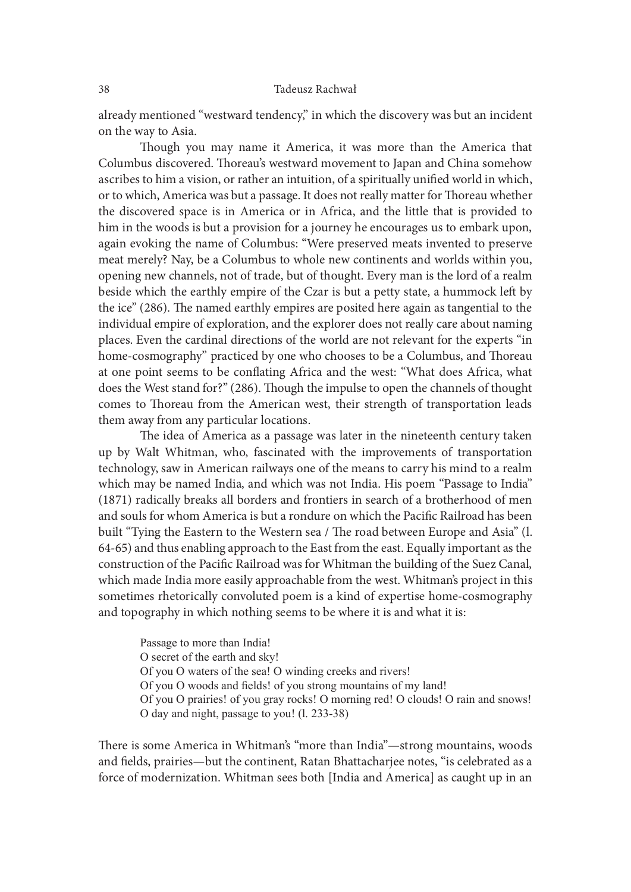already mentioned "westward tendency," in which the discovery was but an incident on the way to Asia.

Though you may name it America, it was more than the America that Columbus discovered. Thoreau's westward movement to Japan and China somehow ascribes to him a vision, or rather an intuition, of a spiritually unified world in which, or to which, America was but a passage. It does not really matter for Thoreau whether the discovered space is in America or in Africa, and the little that is provided to him in the woods is but a provision for a journey he encourages us to embark upon, again evoking the name of Columbus: "Were preserved meats invented to preserve meat merely? Nay, be a Columbus to whole new continents and worlds within you, opening new channels, not of trade, but of thought. Every man is the lord of a realm beside which the earthly empire of the Czar is but a petty state, a hummock left by the ice"  $(286)$ . The named earthly empires are posited here again as tangential to the individual empire of exploration, and the explorer does not really care about naming places. Even the cardinal directions of the world are not relevant for the experts "in home-cosmography" practiced by one who chooses to be a Columbus, and Thoreau at one point seems to be conflating Africa and the west: "What does Africa, what does the West stand for?" (286). Though the impulse to open the channels of thought comes to Thoreau from the American west, their strength of transportation leads them away from any particular locations.

The idea of America as a passage was later in the nineteenth century taken up by Walt Whitman, who, fascinated with the improvements of transportation technology, saw in American railways one of the means to carry his mind to a realm which may be named India, and which was not India. His poem "Passage to India" (1871) radically breaks all borders and frontiers in search of a brotherhood of men and souls for whom America is but a rondure on which the Pacific Railroad has been built "Tying the Eastern to the Western sea / The road between Europe and Asia" (l. 64-65) and thus enabling approach to the East from the east. Equally important as the construction of the Pacific Railroad was for Whitman the building of the Suez Canal, which made India more easily approachable from the west. Whitman's project in this sometimes rhetorically convoluted poem is a kind of expertise home-cosmography and topography in which nothing seems to be where it is and what it is:

Passage to more than India! O secret of the earth and sky! Of you O waters of the sea! O winding creeks and rivers! Of you O woods and fields! of you strong mountains of my land! Of you O prairies! of you gray rocks! O morning red! O clouds! O rain and snows! O day and night, passage to you!(l. 233-38)

There is some America in Whitman's "more than India"—strong mountains, woods and fields, prairies—but the continent, Ratan Bhattacharjee notes, "is celebrated as a force of modernization. Whitman sees both [India and America] as caught up in an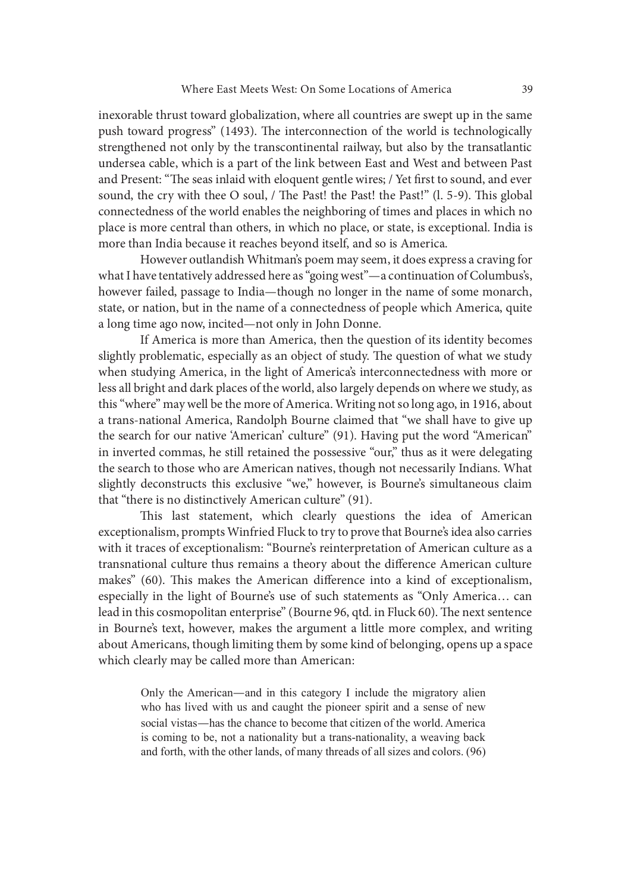inexorable thrust toward globalization, where all countries are swept up in the same push toward progress" (1493). The interconnection of the world is technologically strengthened not only by the transcontinental railway, but also by the transatlantic undersea cable, which is a part of the link between East and West and between Past and Present: "The seas inlaid with eloquent gentle wires; / Yet first to sound, and ever sound, the cry with thee O soul, / The Past! the Past! the Past!" (l. 5-9). This global connectedness of the world enables the neighboring of times and places in which no place is more central than others, in which no place, or state, is exceptional. India is more than India because it reaches beyond itself, and so is America.

However outlandish Whitman's poem may seem, it does express a craving for what I have tentatively addressed here as "going west"—a continuation of Columbus's, however failed, passage to India—though no longer in the name of some monarch, state, or nation, but in the name of a connectedness of people which America, quite a long time ago now, incited—not only in John Donne.

If America is more than America, then the question of its identity becomes slightly problematic, especially as an object of study. The question of what we study when studying America, in the light of America's interconnectedness with more or less all bright and dark places of the world, also largely depends on where we study, as this "where" may well be the more of America. Writing not so long ago, in 1916, about a trans-national America, Randolph Bourne claimed that "we shall have to give up the search for our native 'American' culture" (91). Having put the word "American" in inverted commas, he still retained the possessive "our," thus as it were delegating the search to those who are American natives, though not necessarily Indians. What slightly deconstructs this exclusive "we," however, is Bourne's simultaneous claim that "there is no distinctively American culture" (91).

This last statement, which clearly questions the idea of American exceptionalism, prompts Winfried Fluck to try to prove that Bourne's idea also carries with it traces of exceptionalism: "Bourne's reinterpretation of American culture as a transnational culture thus remains a theory about the difference American culture makes" (60). This makes the American difference into a kind of exceptionalism, especially in the light of Bourne's use of such statements as "Only America… can lead in this cosmopolitan enterprise" (Bourne 96, qtd. in Fluck 60). The next sentence in Bourne's text, however, makes the argument a little more complex, and writing about Americans, though limiting them by some kind of belonging, opens up a space which clearly may be called more than American: ted commas, he still retained the possessive "our," thus as it were delegating<br>cheoronstructs this exclusive "we," however, is Bourne's simultaneous claim<br>ere is no distinctively American natives; thougever, is Bourne's si

Only the American—and in this category I include the migratory alien social vistas—has the chance to become that citizen of the world. America is coming to be, not a nationality but a trans-nationality, a weaving back and forth, with the other lands, of many threads of all sizes and colors. (96)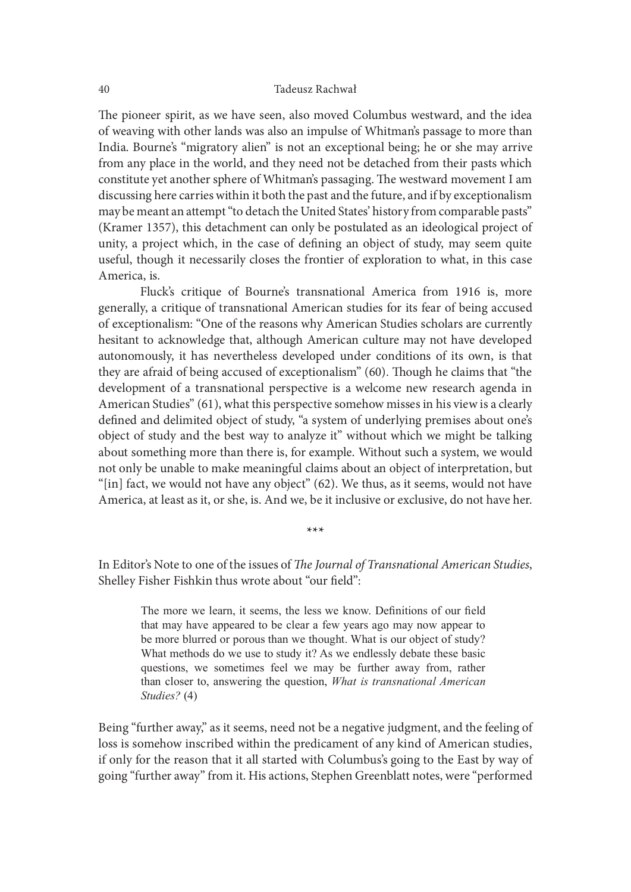The pioneer spirit, as we have seen, also moved Columbus westward, and the idea of weaving with other lands was also an impulse of Whitman's passage to more than India. Bourne's "migratory alien" is not an exceptional being; he or she may arrive from any place in the world, and they need not be detached from their pasts which constitute yet another sphere of Whitman's passaging. The westward movement I am discussing here carries within it both the past and the future, and if by exceptionalism may be meant an attempt "to detach the United States' history from comparable pasts" (Kramer 1357), this detachment can only be postulated as an ideological project of unity, a project which, in the case of defining an object of study, may seem quite useful, though it necessarily closes the frontier of exploration to what, in this case America, is.

Fluck's critique of Bourne's transnational America from 1916 is, more generally, a critique of transnational American studies for its fear of being accused of exceptionalism: "One of the reasons why American Studies scholars are currently hesitant to acknowledge that, although American culture may not have developed autonomously, it has nevertheless developed under conditions of its own, is that they are afraid of being accused of exceptionalism"  $(60)$ . Though he claims that "the development of a transnational perspective is a welcome new research agenda in American Studies" (61), what this perspective somehow misses in his view is a clearly defined and delimited object of study, "a system of underlying premises about one's object of study and the best way to analyze it" without which we might be talking about something more than there is, for example. Without such a system, we would not only be unable to make meaningful claims about an object of interpretation, but "[in] fact, we would not have any object" (62). We thus, as it seems, would not have America, at least as it, or she, is. And we, be it inclusive or exclusive, do not have her. IT such to the best of the spectruc solution whisses in this vertex a creamy of and delimited object of study, "a system of underlying premises about one's f study and the best way to analyze it" without which we might be

\*\*\*

In Editor's Note to one of the issues of *The Journal of Transnational American Studies*, Shelley Fisher Fishkin thus wrote about "our field":

The more we learn, it seems, the less we know. Definitions of our field that may have appeared to be clear a few years ago may now appear to be more blurred or porous than we thought. What is our object of study? What methods do we use to study it? As we endlessly debate these basic than closer to, answering the question, What is transnational American Studies? (4)

Being "further away," as it seems, need not be a negative judgment, and the feeling of loss is somehow inscribed within the predicament of any kind of American studies, if only for the reason that it all started with Columbus's going to the East by way of going "further away" from it. His actions, Stephen Greenblatt notes, were "performed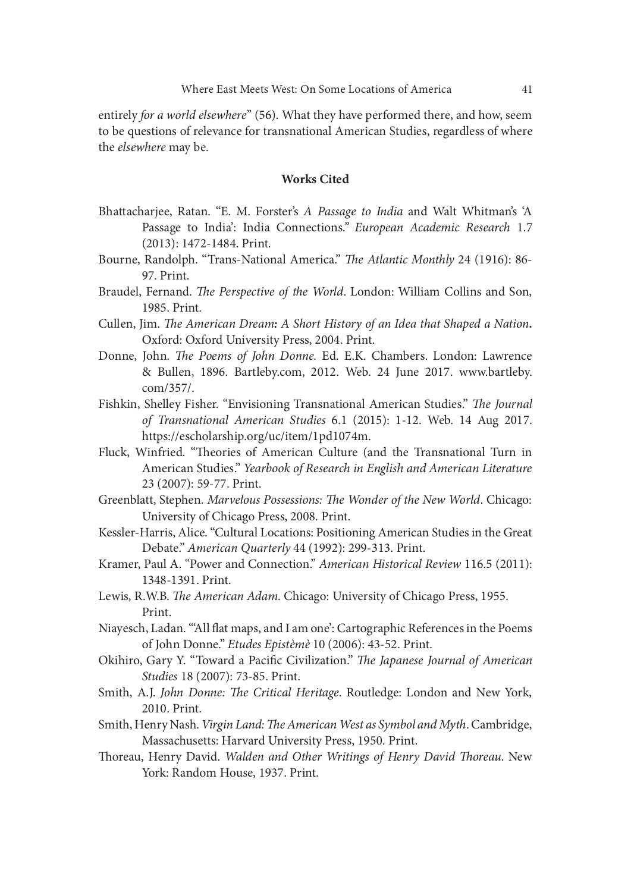entirely for a world elsewhere" (56). What they have performed there, and how, seem to be questions of relevance for transnational American Studies, regardless of where the elsewhere may be.

## Works Cited

- Bhattacharjee, Ratan. "E. M. Forster's A Passage to India and Walt Whitman's 'A Passage to India': India Connections." European Academic Research 1.7 (2013): 1472-1484. Print.
- Bourne, Randolph. "Trans-National America." The Atlantic Monthly 24 (1916): 86-97. Print.
- Braudel, Fernand. The Perspective of the World. London: William Collins and Son, 1985. Print.
- Cullen, Jim. The American Dream: A Short History of an Idea that Shaped a Nation. Oxford: Oxford University Press, 2004. Print.
- (2013): 1472-1484. Print.<br>
Bourne, Randolph. "Trans-National America." *The Atlantic Monthly* 24 (1916): 86-<br>
97. Print.<br>
Braudel, Fernand. *The Perspective of the World.* London: William Collins and Son,<br>
1985. Print.<br>
Cu & Bullen, 1896. Bartleby.com, 2012. Web. 24 June 2017. www.bartleby. com/357/.
- Fishkin, Shelley Fisher. "Envisioning Transnational American Studies." The Journal of Transnational American Studies 6.1 (2015): 1-12. Web. 14 Aug 2017. https://escholarship.org/uc/item/1pd1074m.
- Fluck, Winfried. "Theories of American Culture (and the Transnational Turn in American Studies." Yearbook of Research in English and American Literature 23 (2007): 59-77. Print.
- Greenblatt, Stephen. Marvelous Possessions: The Wonder of the New World. Chicago: University of Chicago Press, 2008. Print.
- Kessler-Harris, Alice. "Cultural Locations: Positioning American Studies in the Great Debate." American Quarterly 44 (1992): 299-313. Print.
- Kramer, Paul A. "Power and Connection." American Historical Review 116.5 (2011): 1348-1391. Print.
- Lewis, R.W.B. The American Adam. Chicago: University of Chicago Press, 1955. Print.
- Niayesch, Ladan. "All flat maps, and I am one': Cartographic References in the Poems of John Donne." Etudes Epistèmè 10 (2006): 43-52. Print.
- Okihiro, Gary Y. "Toward a Pacific Civilization." The Japanese Journal of American Studies 18 (2007): 73-85. Print.
- Smith, A.J. John Donne: The Critical Heritage. Routledge: London and New York, 2010. Print.
- Smith, Henry Nash. Virgin Land: The American West as Symbol and Myth. Cambridge, Massachusetts: Harvard University Press, 1950. Print.
- Thoreau, Henry David. Walden and Other Writings of Henry David Thoreau. New York: Random House, 1937. Print.